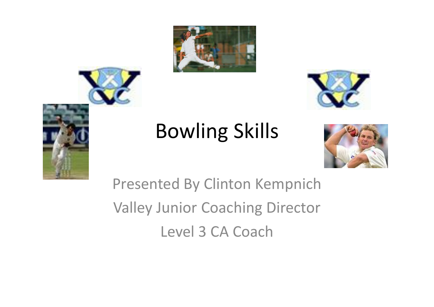





# Bowling Skills



Presented By Clinton Kempnich Valley Junior Coaching Director Level 3 CA Coach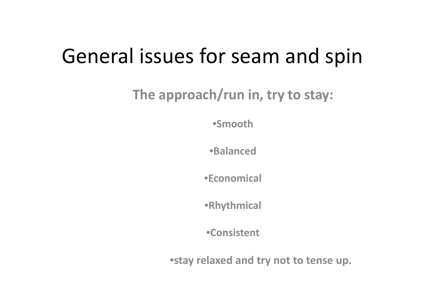## General issues for seam and spin

**The approach/run in, try to stay:**

•**Smooth**

•**Balanced**

•**Economical**

•**Rhythmical**

•**Consistent**

•**stay relaxed and try not to tense up.**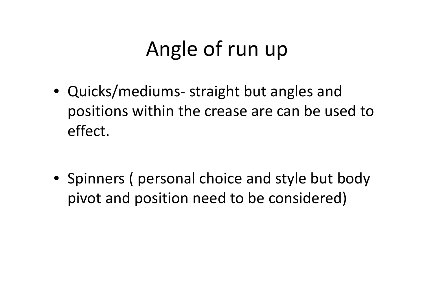## Angle of run up

• Quicks/mediums‐ straight but angles and positions within the crease are can be used to effect.

• Spinners ( personal choice and style but body pivot and position need to be considered)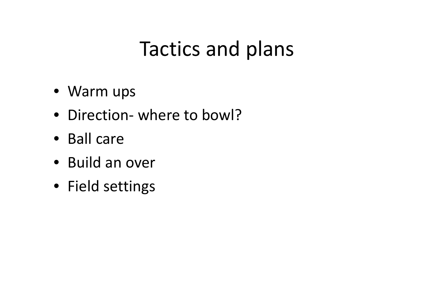## Tactics and plans

- Warm ups
- Direction- where to bowl?
- Ball care
- Build an over
- Field settings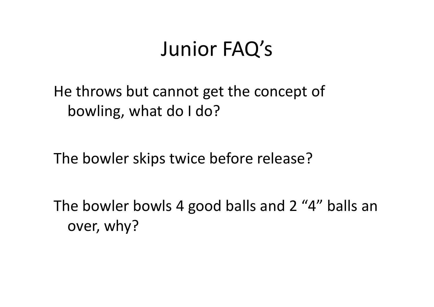#### Junior FAQ's

He throws but cannot get the concept of bowling, what do I do?

The bowler skips twice before release?

The bowler bowls 4 good balls and 2 "4" balls an over, why?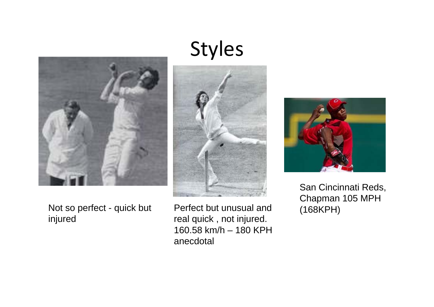

## Styles





Not so perfect - quick but injured

Perfect but unusual and real quick , not injured. 160.58 km/h – 180 KPH anecdotal

San Cincinnati Reds, Chapman 105 MPH (168KPH)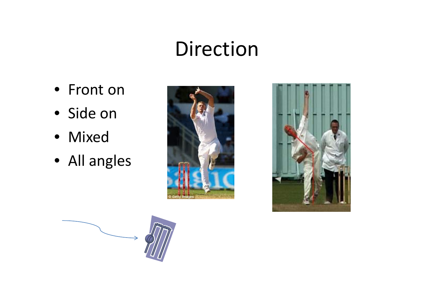## Direction

- Front on
- Side on
- Mixed
- All angles





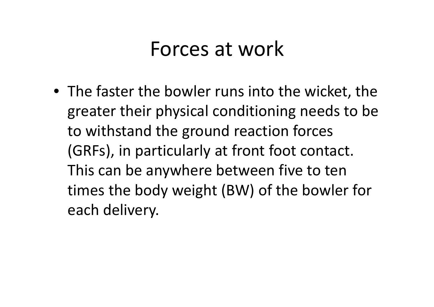#### Forces at work

• The faster the bowler runs into the wicket, the greater their physical conditioning needs to be to withstand the ground reaction forces (GRFs), in particularly at front foot contact. This can be anywhere between five to ten times the body weight (BW) of the bowler for each delivery.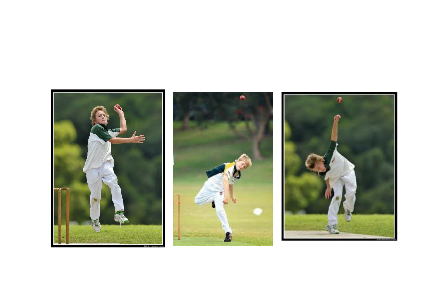



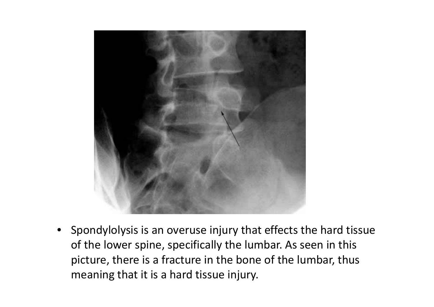

• Spondylolysis is an overuse injury that effects the hard tissue of the lower spine, specifically the lumbar. As seen in this picture, there is <sup>a</sup> fracture in the bone of the lumbar, thus meaning that it is <sup>a</sup> hard tissue injury.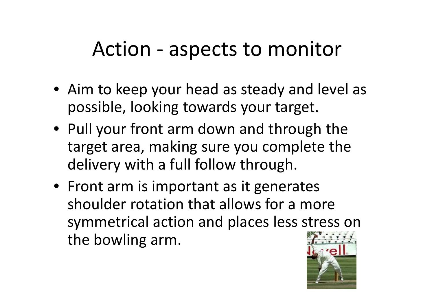## Action ‐ aspects to monitor

- Aim to keep your head as steady and level as possible, looking towards your target.
- Pull your front arm down and through the target area, making sure you complete the delivery with <sup>a</sup> full follow through.
- Front arm is important as it generates shoulder rotation that allows for <sup>a</sup> more symmetrical action and places less stress on the bowling arm.

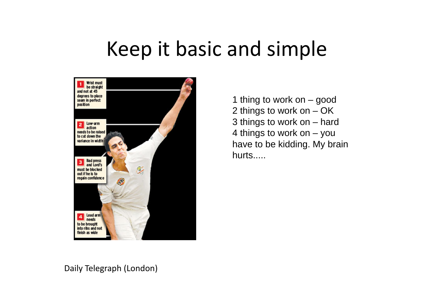## Keep it basic and simple



1 thing to work on – good 2 things to work on – OK 3 things to work on – hard 4 things to work on – you have to be kidding. My brain hurts.....

#### Daily Telegraph (London)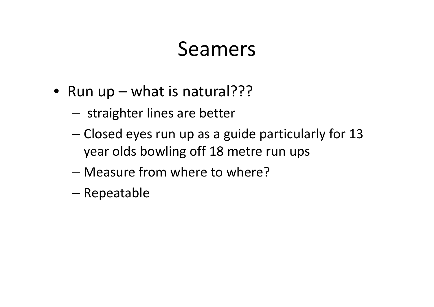#### Seamers

- Run up what is natural???
	- – $-$  straighter lines are better
	- – Closed eyes run up as <sup>a</sup> guide particularly for 13 year olds bowling off 18 metre run ups
	- Measure from where to where?
	- –— Repeatable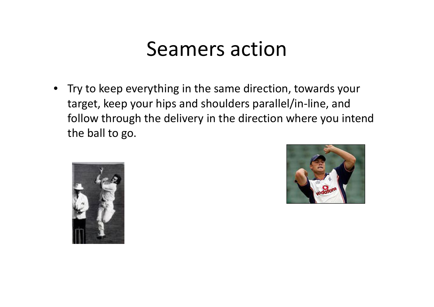#### Seamers action

• Try to keep everything in the same direction, towards your target, keep your hips and shoulders parallel/in‐line, and follow through the delivery in the direction where you intend the ball to go.



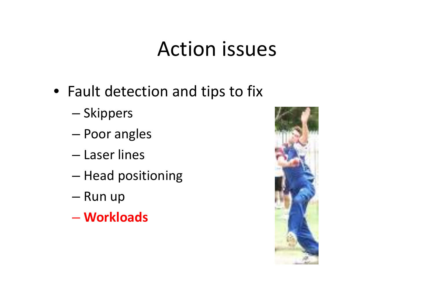## Action issues

- Fault detection and tips to fix
	- –— Skippers
	- –Poor angles
	- Laser lines
	- –– Head positioning
	- –— Run up
	- **Workloads**

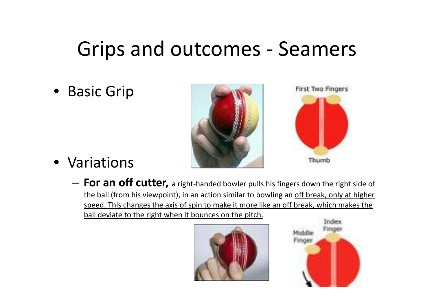## Grips and outcomes ‐ Seamers

• Basic Grip





- Variations
	- **For an off cutter,** <sup>a</sup> right‐handed bowler pulls his fingers down the right side of the ball (from his viewpoint), in an action similar to bowling an <u>off break, only at higher</u> speed. This changes the axis of spin to make it more like an off break, which makes the ball deviate to the right when it bounces on the pitch.



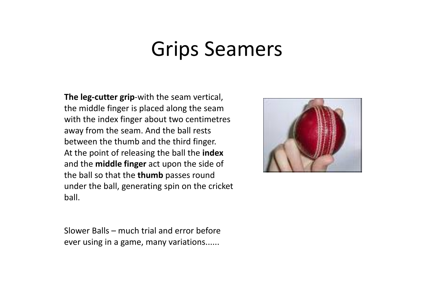### Grips Seamers

**The leg‐cutter grip**‐with the seam vertical, the middle finger is placed along the seam with the index finger about two centimetres away from the seam. And the ball rests between the thumb and the third finger. At the point of releasing the ball the **index** and the **middle finger** act upon the side of the ball so that the **thumb** passes round under the ball, generating spin on the cricket ball.

Slower Balls – much trial and error before ever using in <sup>a</sup> game, many variations......

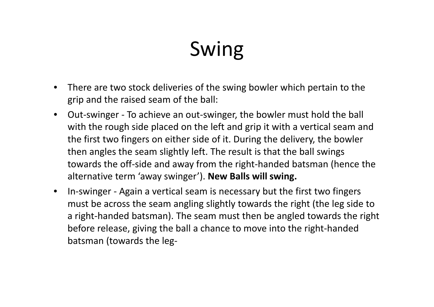# Swing

- • There are two stock deliveries of the swing bowler which pertain to the grip and the raised seam of the ball:
- $\bullet$  Out‐swinger ‐ To achieve an out‐swinger, the bowler must hold the ball with the rough side placed on the left and grip it with <sup>a</sup> vertical seam and the first two fingers on either side of it. During the delivery, the bowler then angles the seam slightly left. The result is that the ball swings towards the off‐side and away from the right‐handed batsman (hence the alternative term 'away swinger'). **New Balls will swing.**
- $\bullet$  In‐swinger ‐ Again <sup>a</sup> vertical seam is necessary but the first two fingers must be across the seam angling slightly towards the right (the leg side to a right‐handed batsman). The seam must then be angled towards the right before release, giving the ball <sup>a</sup> chance to move into the right‐handed batsman (towards the leg‐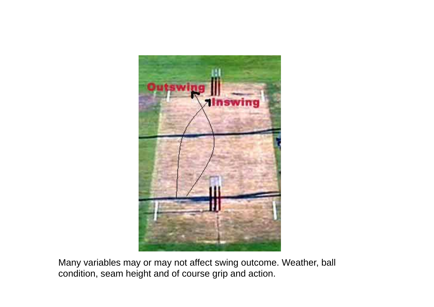

Many variables may or may not affect swing outcome. Weather, ball condition, seam height and of course grip and action.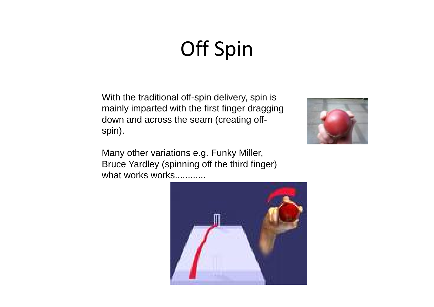# Off Spin

With the traditional off-spin delivery, spin is mainly imparted with the first finger dragging down and across the seam (creating offspin).



Many other variations e.g. Funky Miller, Bruce Yardley (spinning off the third finger) what works works............

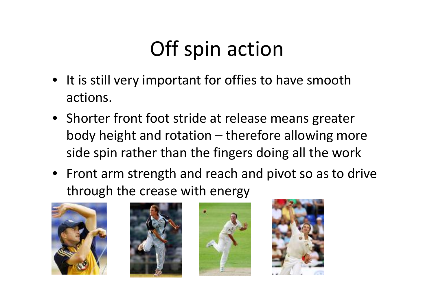# Off spin action

- It is still very important for offies to have smooth actions.
- Shorter front foot stride at release means greater body height and rotation – therefore allowing more side spin rather than the fingers doing all the work
- Front arm strength and reach and pivot so as to drive through the crease with energy







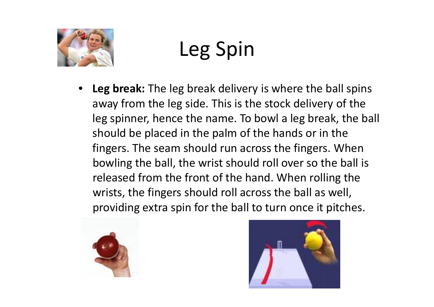

Leg Spin

• **Leg break:** The leg break delivery is where the ball spins away from the leg side. This is the stock delivery of the leg spinner, hence the name. To bowl <sup>a</sup> leg break, the ball should be placed in the palm of the hands or in the fingers. The seam should run across the fingers. When bowling the ball, the wrist should roll over so the ball is released from the front of the hand. When rolling the wrists, the fingers should roll across the ball as well, providing extra spin for the ball to turn once it pitches.



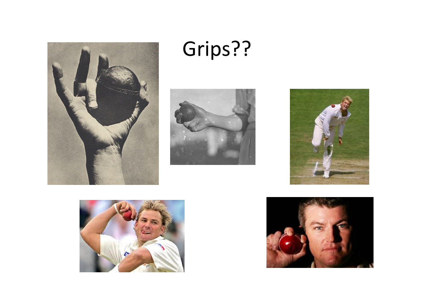

# Grips??







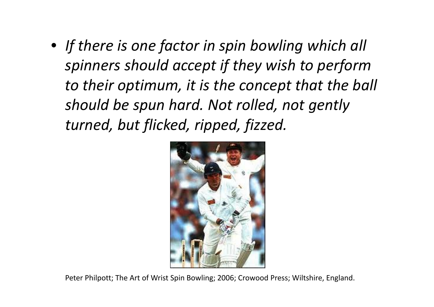• *If there is one factor in spin bowling which all spinners should accept if they wish to perform to their optimum, it is the concept that the ball should be spun hard. Not rolled, not gently turned, but flicked, ripped, fizzed.*



Peter Philpott; The Art of Wrist Spin Bowling; 2006; Crowood Press; Wiltshire, England.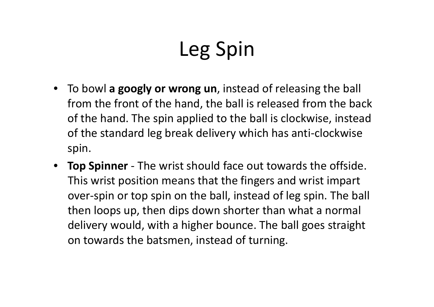# Leg Spin

- • To bowl **<sup>a</sup> googly or wrong un**, instead of releasing the ball from the front of the hand, the ball is released from the back of the hand. The spin applied to the ball is clockwise, instead of the standard leg break delivery which has anti‐clockwise spin.
- **Top Spinner** ‐ The wrist should face out towards the offside. This wrist position means that the fingers and wrist impart over‐spin or top spin on the ball, instead of leg spin. The ball then loops up, then dips down shorter than what <sup>a</sup> normal delivery would, with <sup>a</sup> higher bounce. The ball goes straight on towards the batsmen, instead of turning.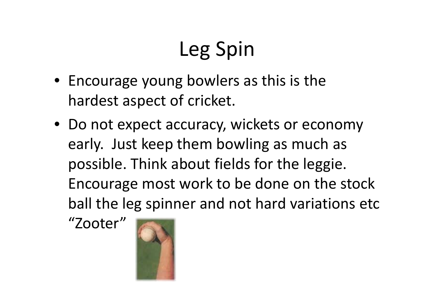# Leg Spin

- Encourage young bowlers as this is the hardest aspect of cricket.
- Do not expect accuracy, wickets or economy early. Just keep them bowling as much as possible. Think about fields for the leggie. Encourage most work to be done on the stock ball the leg spinner and not hard variations etc

"Zooter"